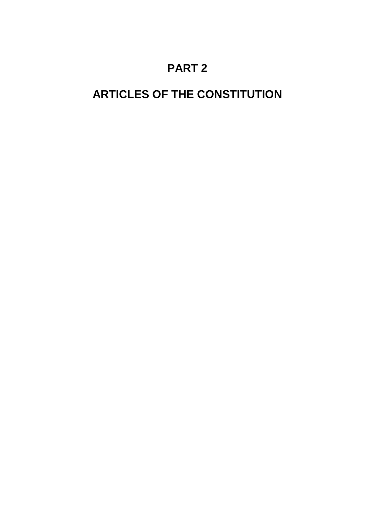# **PART 2**

# **ARTICLES OF THE CONSTITUTION**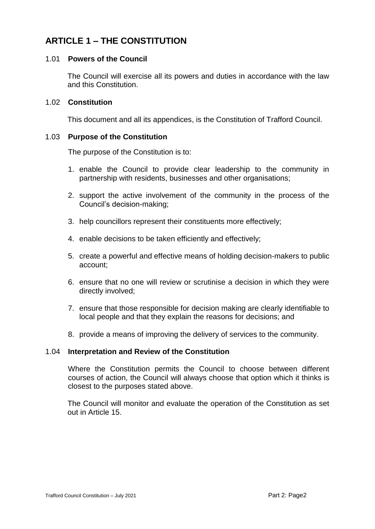# **ARTICLE 1 – THE CONSTITUTION**

### 1.01 **Powers of the Council**

The Council will exercise all its powers and duties in accordance with the law and this Constitution.

### 1.02 **Constitution**

This document and all its appendices, is the Constitution of Trafford Council.

### 1.03 **Purpose of the Constitution**

The purpose of the Constitution is to:

- 1. enable the Council to provide clear leadership to the community in partnership with residents, businesses and other organisations;
- 2. support the active involvement of the community in the process of the Council's decision-making;
- 3. help councillors represent their constituents more effectively;
- 4. enable decisions to be taken efficiently and effectively;
- 5. create a powerful and effective means of holding decision-makers to public account;
- 6. ensure that no one will review or scrutinise a decision in which they were directly involved;
- 7. ensure that those responsible for decision making are clearly identifiable to local people and that they explain the reasons for decisions; and
- 8. provide a means of improving the delivery of services to the community.

### 1.04 **Interpretation and Review of the Constitution**

Where the Constitution permits the Council to choose between different courses of action, the Council will always choose that option which it thinks is closest to the purposes stated above.

The Council will monitor and evaluate the operation of the Constitution as set out in Article 15.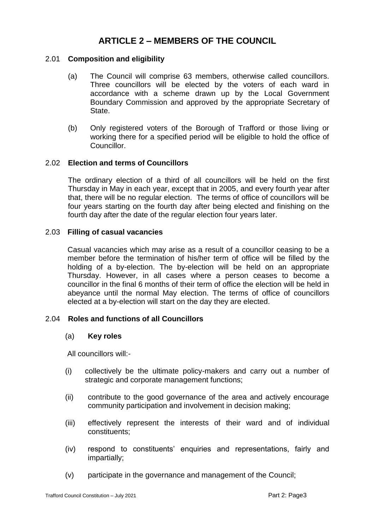# **ARTICLE 2 – MEMBERS OF THE COUNCIL**

### 2.01 **Composition and eligibility**

- (a) The Council will comprise 63 members, otherwise called councillors. Three councillors will be elected by the voters of each ward in accordance with a scheme drawn up by the Local Government Boundary Commission and approved by the appropriate Secretary of State.
- (b) Only registered voters of the Borough of Trafford or those living or working there for a specified period will be eligible to hold the office of Councillor.

### 2.02 **Election and terms of Councillors**

The ordinary election of a third of all councillors will be held on the first Thursday in May in each year, except that in 2005, and every fourth year after that, there will be no regular election. The terms of office of councillors will be four years starting on the fourth day after being elected and finishing on the fourth day after the date of the regular election four years later.

### 2.03 **Filling of casual vacancies**

Casual vacancies which may arise as a result of a councillor ceasing to be a member before the termination of his/her term of office will be filled by the holding of a by-election. The by-election will be held on an appropriate Thursday. However, in all cases where a person ceases to become a councillor in the final 6 months of their term of office the election will be held in abeyance until the normal May election. The terms of office of councillors elected at a by-election will start on the day they are elected.

### 2.04 **Roles and functions of all Councillors**

### (a) **Key roles**

All councillors will:-

- (i) collectively be the ultimate policy-makers and carry out a number of strategic and corporate management functions;
- (ii) contribute to the good governance of the area and actively encourage community participation and involvement in decision making;
- (iii) effectively represent the interests of their ward and of individual constituents;
- (iv) respond to constituents' enquiries and representations, fairly and impartially;
- (v) participate in the governance and management of the Council;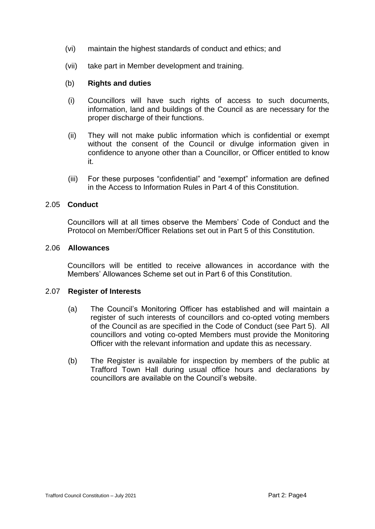- (vi) maintain the highest standards of conduct and ethics; and
- (vii) take part in Member development and training.

### (b) **Rights and duties**

- (i) Councillors will have such rights of access to such documents, information, land and buildings of the Council as are necessary for the proper discharge of their functions.
- (ii) They will not make public information which is confidential or exempt without the consent of the Council or divulge information given in confidence to anyone other than a Councillor, or Officer entitled to know it.
- (iii) For these purposes "confidential" and "exempt" information are defined in the Access to Information Rules in Part 4 of this Constitution.

### 2.05 **Conduct**

Councillors will at all times observe the Members' Code of Conduct and the Protocol on Member/Officer Relations set out in Part 5 of this Constitution.

### 2.06 **Allowances**

Councillors will be entitled to receive allowances in accordance with the Members' Allowances Scheme set out in Part 6 of this Constitution.

### 2.07 **Register of Interests**

- (a) The Council's Monitoring Officer has established and will maintain a register of such interests of councillors and co-opted voting members of the Council as are specified in the Code of Conduct (see Part 5). All councillors and voting co-opted Members must provide the Monitoring Officer with the relevant information and update this as necessary.
- (b) The Register is available for inspection by members of the public at Trafford Town Hall during usual office hours and declarations by councillors are available on the Council's website.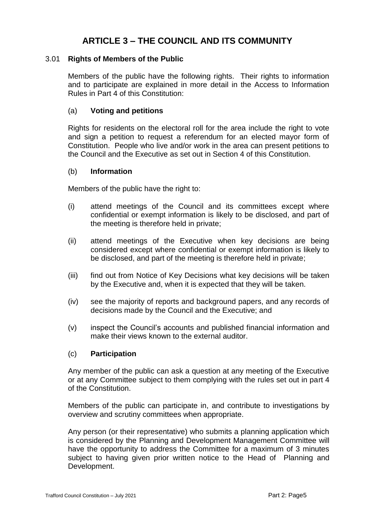# **ARTICLE 3 – THE COUNCIL AND ITS COMMUNITY**

### 3.01 **Rights of Members of the Public**

Members of the public have the following rights. Their rights to information and to participate are explained in more detail in the Access to Information Rules in Part 4 of this Constitution:

### (a) **Voting and petitions**

Rights for residents on the electoral roll for the area include the right to vote and sign a petition to request a referendum for an elected mayor form of Constitution. People who live and/or work in the area can present petitions to the Council and the Executive as set out in Section 4 of this Constitution.

### (b) **Information**

Members of the public have the right to:

- (i) attend meetings of the Council and its committees except where confidential or exempt information is likely to be disclosed, and part of the meeting is therefore held in private;
- (ii) attend meetings of the Executive when key decisions are being considered except where confidential or exempt information is likely to be disclosed, and part of the meeting is therefore held in private;
- (iii) find out from Notice of Key Decisions what key decisions will be taken by the Executive and, when it is expected that they will be taken.
- (iv) see the majority of reports and background papers, and any records of decisions made by the Council and the Executive; and
- (v) inspect the Council's accounts and published financial information and make their views known to the external auditor.

### (c) **Participation**

Any member of the public can ask a question at any meeting of the Executive or at any Committee subject to them complying with the rules set out in part 4 of the Constitution.

Members of the public can participate in, and contribute to investigations by overview and scrutiny committees when appropriate.

Any person (or their representative) who submits a planning application which is considered by the Planning and Development Management Committee will have the opportunity to address the Committee for a maximum of 3 minutes subject to having given prior written notice to the Head of Planning and Development.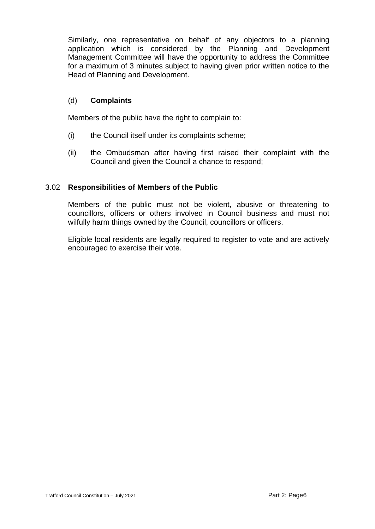Similarly, one representative on behalf of any objectors to a planning application which is considered by the Planning and Development Management Committee will have the opportunity to address the Committee for a maximum of 3 minutes subject to having given prior written notice to the Head of Planning and Development.

### (d) **Complaints**

Members of the public have the right to complain to:

- (i) the Council itself under its complaints scheme;
- (ii) the Ombudsman after having first raised their complaint with the Council and given the Council a chance to respond;

### 3.02 **Responsibilities of Members of the Public**

Members of the public must not be violent, abusive or threatening to councillors, officers or others involved in Council business and must not wilfully harm things owned by the Council, councillors or officers.

Eligible local residents are legally required to register to vote and are actively encouraged to exercise their vote.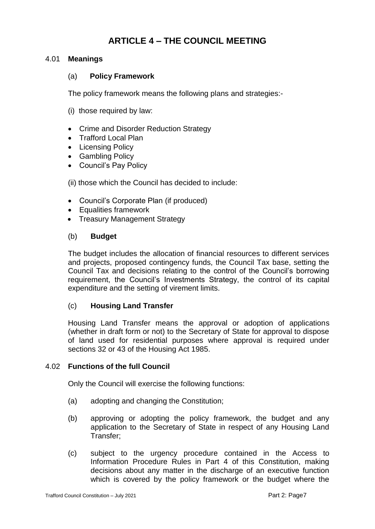# **ARTICLE 4 – THE COUNCIL MEETING**

### 4.01 **Meanings**

### (a) **Policy Framework**

The policy framework means the following plans and strategies:-

- (i) those required by law:
- Crime and Disorder Reduction Strategy
- Trafford Local Plan
- Licensing Policy
- Gambling Policy
- Council's Pay Policy

(ii) those which the Council has decided to include:

- Council's Corporate Plan (if produced)
- Equalities framework
- Treasury Management Strategy

### (b) **Budget**

The budget includes the allocation of financial resources to different services and projects, proposed contingency funds, the Council Tax base, setting the Council Tax and decisions relating to the control of the Council's borrowing requirement, the Council's Investments Strategy, the control of its capital expenditure and the setting of virement limits.

### (c) **Housing Land Transfer**

Housing Land Transfer means the approval or adoption of applications (whether in draft form or not) to the Secretary of State for approval to dispose of land used for residential purposes where approval is required under sections 32 or 43 of the Housing Act 1985.

### 4.02 **Functions of the full Council**

Only the Council will exercise the following functions:

- (a) adopting and changing the Constitution;
- (b) approving or adopting the policy framework, the budget and any application to the Secretary of State in respect of any Housing Land Transfer;
- (c) subject to the urgency procedure contained in the Access to Information Procedure Rules in Part 4 of this Constitution, making decisions about any matter in the discharge of an executive function which is covered by the policy framework or the budget where the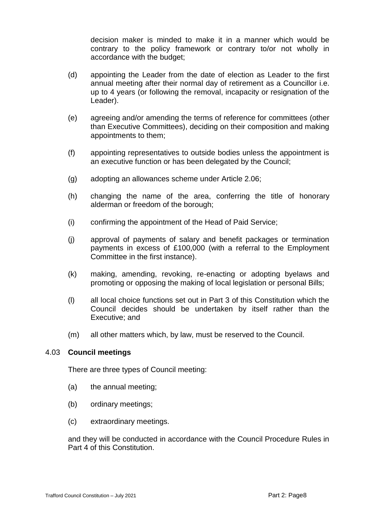decision maker is minded to make it in a manner which would be contrary to the policy framework or contrary to/or not wholly in accordance with the budget;

- (d) appointing the Leader from the date of election as Leader to the first annual meeting after their normal day of retirement as a Councillor i.e. up to 4 years (or following the removal, incapacity or resignation of the Leader).
- (e) agreeing and/or amending the terms of reference for committees (other than Executive Committees), deciding on their composition and making appointments to them;
- (f) appointing representatives to outside bodies unless the appointment is an executive function or has been delegated by the Council;
- (g) adopting an allowances scheme under Article 2.06;
- (h) changing the name of the area, conferring the title of honorary alderman or freedom of the borough;
- (i) confirming the appointment of the Head of Paid Service;
- (j) approval of payments of salary and benefit packages or termination payments in excess of £100,000 (with a referral to the Employment Committee in the first instance).
- (k) making, amending, revoking, re-enacting or adopting byelaws and promoting or opposing the making of local legislation or personal Bills;
- (l) all local choice functions set out in Part 3 of this Constitution which the Council decides should be undertaken by itself rather than the Executive; and
- (m) all other matters which, by law, must be reserved to the Council.

### 4.03 **Council meetings**

There are three types of Council meeting:

- (a) the annual meeting;
- (b) ordinary meetings;
- (c) extraordinary meetings.

and they will be conducted in accordance with the Council Procedure Rules in Part 4 of this Constitution.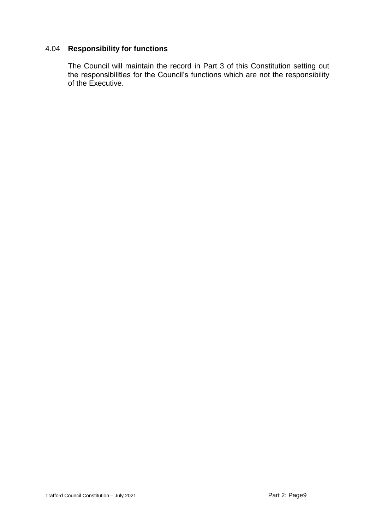### 4.04 **Responsibility for functions**

The Council will maintain the record in Part 3 of this Constitution setting out the responsibilities for the Council's functions which are not the responsibility of the Executive.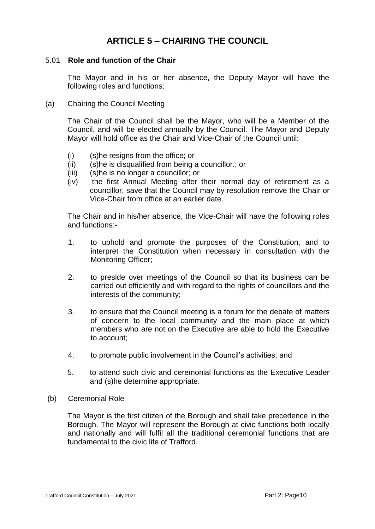# **ARTICLE 5 – CHAIRING THE COUNCIL**

### 5.01 **Role and function of the Chair**

The Mayor and in his or her absence, the Deputy Mayor will have the following roles and functions:

(a) Chairing the Council Meeting

The Chair of the Council shall be the Mayor, who will be a Member of the Council, and will be elected annually by the Council. The Mayor and Deputy Mayor will hold office as the Chair and Vice-Chair of the Council until:

- (i) (s)he resigns from the office; or
- (ii) (s)he is disqualified from being a councillor.; or
- (iii) (s)he is no longer a councillor; or
- (iv) the first Annual Meeting after their normal day of retirement as a councillor, save that the Council may by resolution remove the Chair or Vice-Chair from office at an earlier date.

The Chair and in his/her absence, the Vice-Chair will have the following roles and functions:-

- 1. to uphold and promote the purposes of the Constitution, and to interpret the Constitution when necessary in consultation with the Monitoring Officer;
- 2. to preside over meetings of the Council so that its business can be carried out efficiently and with regard to the rights of councillors and the interests of the community;
- 3. to ensure that the Council meeting is a forum for the debate of matters of concern to the local community and the main place at which members who are not on the Executive are able to hold the Executive to account;
- 4. to promote public involvement in the Council's activities; and
- 5. to attend such civic and ceremonial functions as the Executive Leader and (s)he determine appropriate.
- (b) Ceremonial Role

The Mayor is the first citizen of the Borough and shall take precedence in the Borough. The Mayor will represent the Borough at civic functions both locally and nationally and will fulfil all the traditional ceremonial functions that are fundamental to the civic life of Trafford.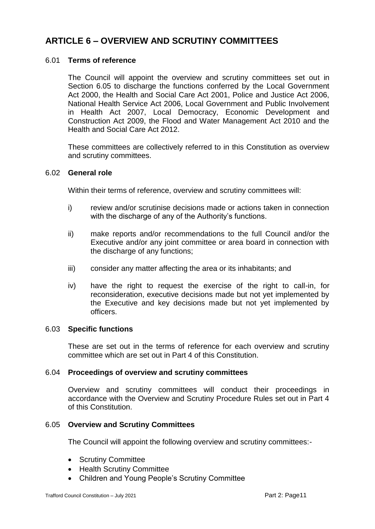### **ARTICLE 6 – OVERVIEW AND SCRUTINY COMMITTEES**

### 6.01 **Terms of reference**

The Council will appoint the overview and scrutiny committees set out in Section 6.05 to discharge the functions conferred by the Local Government Act 2000, the Health and Social Care Act 2001, Police and Justice Act 2006, National Health Service Act 2006, Local Government and Public Involvement in Health Act 2007, Local Democracy, Economic Development and Construction Act 2009, the Flood and Water Management Act 2010 and the Health and Social Care Act 2012.

These committees are collectively referred to in this Constitution as overview and scrutiny committees.

### 6.02 **General role**

Within their terms of reference, overview and scrutiny committees will:

- i) review and/or scrutinise decisions made or actions taken in connection with the discharge of any of the Authority's functions.
- ii) make reports and/or recommendations to the full Council and/or the Executive and/or any joint committee or area board in connection with the discharge of any functions;
- iii) consider any matter affecting the area or its inhabitants; and
- iv) have the right to request the exercise of the right to call-in, for reconsideration, executive decisions made but not yet implemented by the Executive and key decisions made but not yet implemented by officers.

### 6.03 **Specific functions**

These are set out in the terms of reference for each overview and scrutiny committee which are set out in Part 4 of this Constitution.

### 6.04 **Proceedings of overview and scrutiny committees**

Overview and scrutiny committees will conduct their proceedings in accordance with the Overview and Scrutiny Procedure Rules set out in Part 4 of this Constitution.

### 6.05 **Overview and Scrutiny Committees**

The Council will appoint the following overview and scrutiny committees:-

- Scrutiny Committee
- Health Scrutiny Committee
- Children and Young People's Scrutiny Committee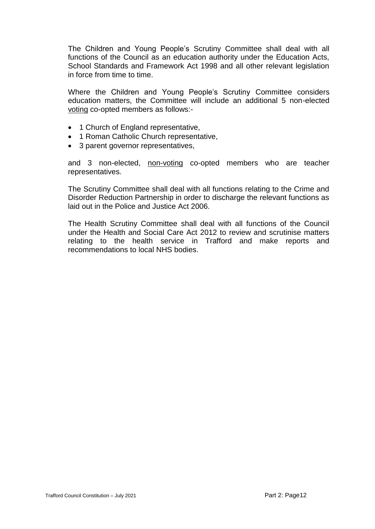The Children and Young People's Scrutiny Committee shall deal with all functions of the Council as an education authority under the Education Acts, School Standards and Framework Act 1998 and all other relevant legislation in force from time to time.

Where the Children and Young People's Scrutiny Committee considers education matters, the Committee will include an additional 5 non-elected voting co-opted members as follows:-

- 1 Church of England representative,
- 1 Roman Catholic Church representative,
- 3 parent governor representatives,

and 3 non-elected, non-voting co-opted members who are teacher representatives.

The Scrutiny Committee shall deal with all functions relating to the Crime and Disorder Reduction Partnership in order to discharge the relevant functions as laid out in the Police and Justice Act 2006.

The Health Scrutiny Committee shall deal with all functions of the Council under the Health and Social Care Act 2012 to review and scrutinise matters relating to the health service in Trafford and make reports and recommendations to local NHS bodies.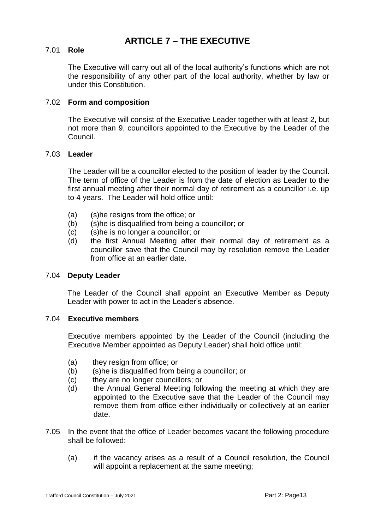## **ARTICLE 7 – THE EXECUTIVE**

### 7.01 **Role**

The Executive will carry out all of the local authority's functions which are not the responsibility of any other part of the local authority, whether by law or under this Constitution.

### 7.02 **Form and composition**

The Executive will consist of the Executive Leader together with at least 2, but not more than 9, councillors appointed to the Executive by the Leader of the Council.

### 7.03 **Leader**

The Leader will be a councillor elected to the position of leader by the Council. The term of office of the Leader is from the date of election as Leader to the first annual meeting after their normal day of retirement as a councillor i.e. up to 4 years. The Leader will hold office until:

- (a) (s)he resigns from the office; or
- (b) (s)he is disqualified from being a councillor; or
- (c) (s)he is no longer a councillor; or
- (d) the first Annual Meeting after their normal day of retirement as a councillor save that the Council may by resolution remove the Leader from office at an earlier date.

### 7.04 **Deputy Leader**

The Leader of the Council shall appoint an Executive Member as Deputy Leader with power to act in the Leader's absence.

### 7.04 **Executive members**

Executive members appointed by the Leader of the Council (including the Executive Member appointed as Deputy Leader) shall hold office until:

- (a) they resign from office; or
- (b) (s)he is disqualified from being a councillor; or
- (c) they are no longer councillors; or
- (d) the Annual General Meeting following the meeting at which they are appointed to the Executive save that the Leader of the Council may remove them from office either individually or collectively at an earlier date.
- 7.05 In the event that the office of Leader becomes vacant the following procedure shall be followed:
	- (a) if the vacancy arises as a result of a Council resolution, the Council will appoint a replacement at the same meeting;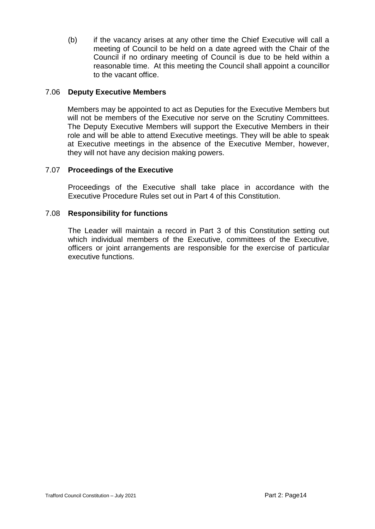(b) if the vacancy arises at any other time the Chief Executive will call a meeting of Council to be held on a date agreed with the Chair of the Council if no ordinary meeting of Council is due to be held within a reasonable time. At this meeting the Council shall appoint a councillor to the vacant office.

### 7.06 **Deputy Executive Members**

Members may be appointed to act as Deputies for the Executive Members but will not be members of the Executive nor serve on the Scrutiny Committees. The Deputy Executive Members will support the Executive Members in their role and will be able to attend Executive meetings. They will be able to speak at Executive meetings in the absence of the Executive Member, however, they will not have any decision making powers.

### 7.07 **Proceedings of the Executive**

Proceedings of the Executive shall take place in accordance with the Executive Procedure Rules set out in Part 4 of this Constitution.

### 7.08 **Responsibility for functions**

The Leader will maintain a record in Part 3 of this Constitution setting out which individual members of the Executive, committees of the Executive, officers or joint arrangements are responsible for the exercise of particular executive functions.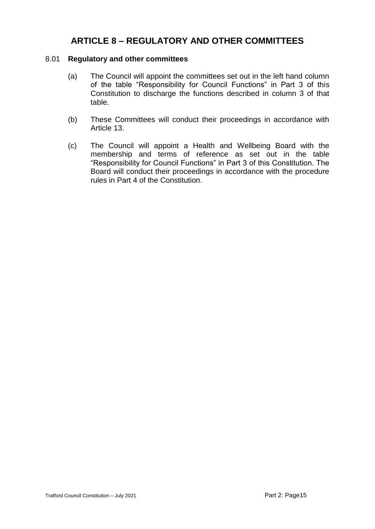# **ARTICLE 8 – REGULATORY AND OTHER COMMITTEES**

### 8.01 **Regulatory and other committees**

- (a) The Council will appoint the committees set out in the left hand column of the table "Responsibility for Council Functions" in Part 3 of this Constitution to discharge the functions described in column 3 of that table.
- (b) These Committees will conduct their proceedings in accordance with Article 13.
- (c) The Council will appoint a Health and Wellbeing Board with the membership and terms of reference as set out in the table "Responsibility for Council Functions" in Part 3 of this Constitution. The Board will conduct their proceedings in accordance with the procedure rules in Part 4 of the Constitution.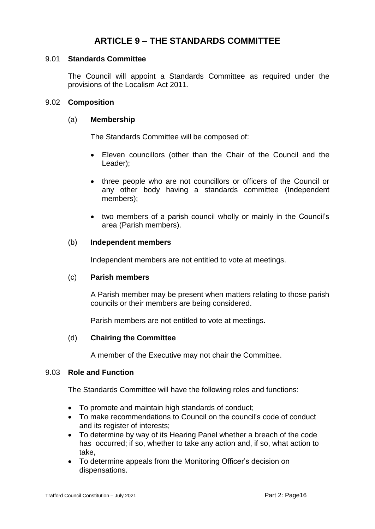# **ARTICLE 9 – THE STANDARDS COMMITTEE**

### 9.01 **Standards Committee**

The Council will appoint a Standards Committee as required under the provisions of the Localism Act 2011.

### 9.02 **Composition**

### (a) **Membership**

The Standards Committee will be composed of:

- Eleven councillors (other than the Chair of the Council and the Leader);
- three people who are not councillors or officers of the Council or any other body having a standards committee (Independent members);
- two members of a parish council wholly or mainly in the Council's area (Parish members).

### (b) **Independent members**

Independent members are not entitled to vote at meetings.

### (c) **Parish members**

A Parish member may be present when matters relating to those parish councils or their members are being considered.

Parish members are not entitled to vote at meetings.

### (d) **Chairing the Committee**

A member of the Executive may not chair the Committee.

### 9.03 **Role and Function**

The Standards Committee will have the following roles and functions:

- To promote and maintain high standards of conduct;
- To make recommendations to Council on the council's code of conduct and its register of interests;
- To determine by way of its Hearing Panel whether a breach of the code has occurred; if so, whether to take any action and, if so, what action to take,
- To determine appeals from the Monitoring Officer's decision on dispensations.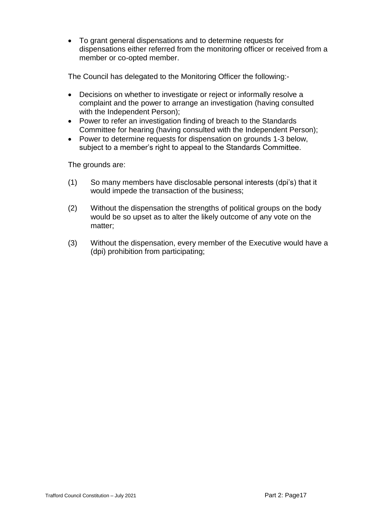To grant general dispensations and to determine requests for dispensations either referred from the monitoring officer or received from a member or co-opted member.

The Council has delegated to the Monitoring Officer the following:-

- Decisions on whether to investigate or reject or informally resolve a complaint and the power to arrange an investigation (having consulted with the Independent Person);
- Power to refer an investigation finding of breach to the Standards Committee for hearing (having consulted with the Independent Person);
- Power to determine requests for dispensation on grounds 1-3 below, subject to a member's right to appeal to the Standards Committee.

The grounds are:

- (1) So many members have disclosable personal interests (dpi's) that it would impede the transaction of the business;
- (2) Without the dispensation the strengths of political groups on the body would be so upset as to alter the likely outcome of any vote on the matter;
- (3) Without the dispensation, every member of the Executive would have a (dpi) prohibition from participating;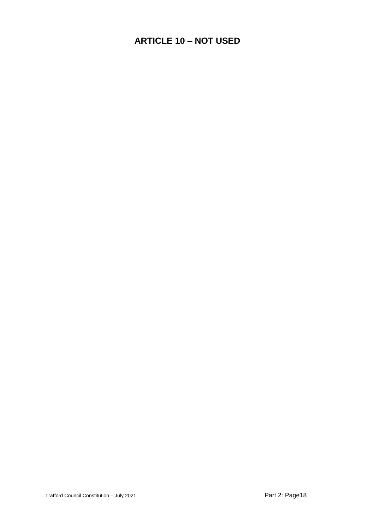# **ARTICLE 10 – NOT USED**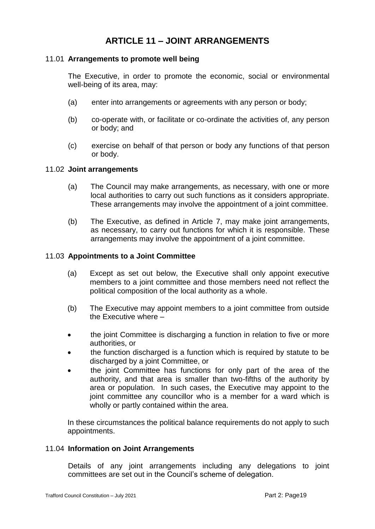# **ARTICLE 11 – JOINT ARRANGEMENTS**

### 11.01 **Arrangements to promote well being**

The Executive, in order to promote the economic, social or environmental well-being of its area, may:

- (a) enter into arrangements or agreements with any person or body;
- (b) co-operate with, or facilitate or co-ordinate the activities of, any person or body; and
- (c) exercise on behalf of that person or body any functions of that person or body.

### 11.02 **Joint arrangements**

- (a) The Council may make arrangements, as necessary, with one or more local authorities to carry out such functions as it considers appropriate. These arrangements may involve the appointment of a joint committee.
- (b) The Executive, as defined in Article 7, may make joint arrangements, as necessary, to carry out functions for which it is responsible. These arrangements may involve the appointment of a joint committee.

### 11.03 **Appointments to a Joint Committee**

- (a) Except as set out below, the Executive shall only appoint executive members to a joint committee and those members need not reflect the political composition of the local authority as a whole.
- (b) The Executive may appoint members to a joint committee from outside the Executive where –
- the joint Committee is discharging a function in relation to five or more authorities, or
- the function discharged is a function which is required by statute to be discharged by a joint Committee, or
- the joint Committee has functions for only part of the area of the authority, and that area is smaller than two-fifths of the authority by area or population. In such cases, the Executive may appoint to the joint committee any councillor who is a member for a ward which is wholly or partly contained within the area.

In these circumstances the political balance requirements do not apply to such appointments.

### 11.04 **Information on Joint Arrangements**

Details of any joint arrangements including any delegations to joint committees are set out in the Council's scheme of delegation.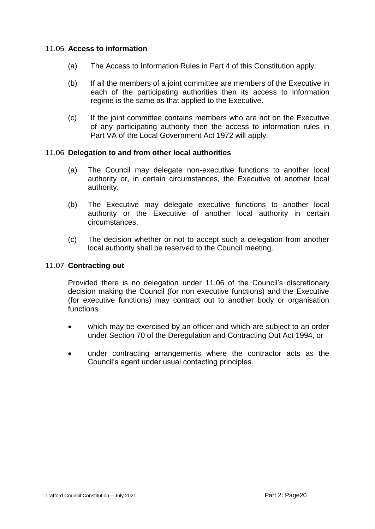### 11.05 **Access to information**

- (a) The Access to Information Rules in Part 4 of this Constitution apply.
- (b) If all the members of a joint committee are members of the Executive in each of the participating authorities then its access to information regime is the same as that applied to the Executive.
- (c) If the joint committee contains members who are not on the Executive of any participating authority then the access to information rules in Part VA of the Local Government Act 1972 will apply.

### 11.06 **Delegation to and from other local authorities**

- (a) The Council may delegate non-executive functions to another local authority or, in certain circumstances, the Executive of another local authority.
- (b) The Executive may delegate executive functions to another local authority or the Executive of another local authority in certain circumstances.
- (c) The decision whether or not to accept such a delegation from another local authority shall be reserved to the Council meeting.

### 11.07 **Contracting out**

Provided there is no delegation under 11.06 of the Council's discretionary decision making the Council (for non executive functions) and the Executive (for executive functions) may contract out to another body or organisation functions

- which may be exercised by an officer and which are subject to an order under Section 70 of the Deregulation and Contracting Out Act 1994, or
- under contracting arrangements where the contractor acts as the Council's agent under usual contacting principles.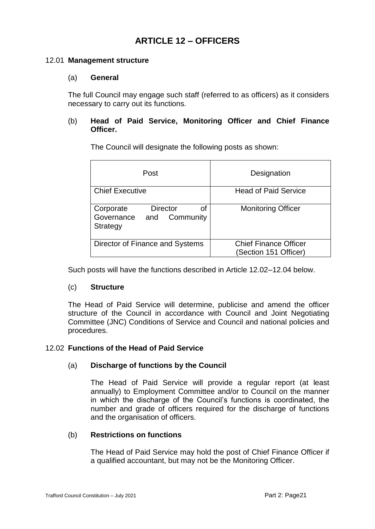# **ARTICLE 12 – OFFICERS**

### 12.01 **Management structure**

### (a) **General**

The full Council may engage such staff (referred to as officers) as it considers necessary to carry out its functions.

### (b) **Head of Paid Service, Monitoring Officer and Chief Finance Officer.**

Post **Designation** Chief Executive Head of Paid Service Corporate Director of Governance and Community **Strategy** Monitoring Officer Director of Finance and Systems | Chief Finance Officer (Section 151 Officer)

The Council will designate the following posts as shown:

Such posts will have the functions described in Article 12.02–12.04 below.

### (c) **Structure**

The Head of Paid Service will determine, publicise and amend the officer structure of the Council in accordance with Council and Joint Negotiating Committee (JNC) Conditions of Service and Council and national policies and procedures.

### 12.02 **Functions of the Head of Paid Service**

### (a) **Discharge of functions by the Council**

The Head of Paid Service will provide a regular report (at least annually) to Employment Committee and/or to Council on the manner in which the discharge of the Council's functions is coordinated, the number and grade of officers required for the discharge of functions and the organisation of officers.

### (b) **Restrictions on functions**

The Head of Paid Service may hold the post of Chief Finance Officer if a qualified accountant, but may not be the Monitoring Officer.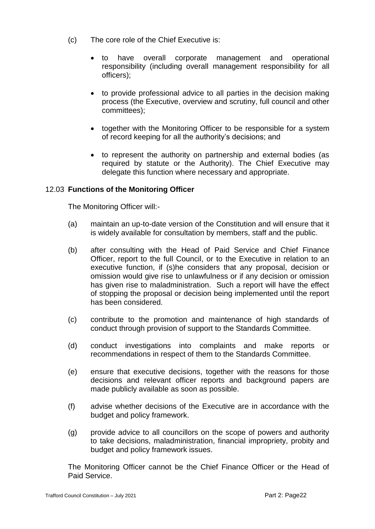- (c) The core role of the Chief Executive is:
	- to have overall corporate management and operational responsibility (including overall management responsibility for all officers);
	- to provide professional advice to all parties in the decision making process (the Executive, overview and scrutiny, full council and other committees);
	- together with the Monitoring Officer to be responsible for a system of record keeping for all the authority's decisions; and
	- to represent the authority on partnership and external bodies (as required by statute or the Authority). The Chief Executive may delegate this function where necessary and appropriate.

### 12.03 **Functions of the Monitoring Officer**

The Monitoring Officer will:-

- (a) maintain an up-to-date version of the Constitution and will ensure that it is widely available for consultation by members, staff and the public.
- (b) after consulting with the Head of Paid Service and Chief Finance Officer, report to the full Council, or to the Executive in relation to an executive function, if (s)he considers that any proposal, decision or omission would give rise to unlawfulness or if any decision or omission has given rise to maladministration. Such a report will have the effect of stopping the proposal or decision being implemented until the report has been considered.
- (c) contribute to the promotion and maintenance of high standards of conduct through provision of support to the Standards Committee.
- (d) conduct investigations into complaints and make reports or recommendations in respect of them to the Standards Committee.
- (e) ensure that executive decisions, together with the reasons for those decisions and relevant officer reports and background papers are made publicly available as soon as possible.
- (f) advise whether decisions of the Executive are in accordance with the budget and policy framework.
- (g) provide advice to all councillors on the scope of powers and authority to take decisions, maladministration, financial impropriety, probity and budget and policy framework issues.

The Monitoring Officer cannot be the Chief Finance Officer or the Head of Paid Service.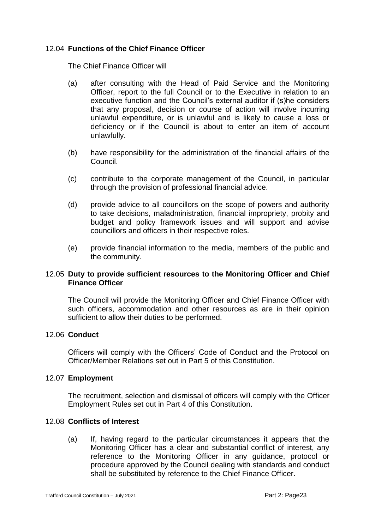### 12.04 **Functions of the Chief Finance Officer**

The Chief Finance Officer will

- (a) after consulting with the Head of Paid Service and the Monitoring Officer, report to the full Council or to the Executive in relation to an executive function and the Council's external auditor if (s)he considers that any proposal, decision or course of action will involve incurring unlawful expenditure, or is unlawful and is likely to cause a loss or deficiency or if the Council is about to enter an item of account unlawfully.
- (b) have responsibility for the administration of the financial affairs of the Council.
- (c) contribute to the corporate management of the Council, in particular through the provision of professional financial advice.
- (d) provide advice to all councillors on the scope of powers and authority to take decisions, maladministration, financial impropriety, probity and budget and policy framework issues and will support and advise councillors and officers in their respective roles.
- (e) provide financial information to the media, members of the public and the community.

### 12.05 **Duty to provide sufficient resources to the Monitoring Officer and Chief Finance Officer**

The Council will provide the Monitoring Officer and Chief Finance Officer with such officers, accommodation and other resources as are in their opinion sufficient to allow their duties to be performed.

### 12.06 **Conduct**

Officers will comply with the Officers' Code of Conduct and the Protocol on Officer/Member Relations set out in Part 5 of this Constitution.

### 12.07 **Employment**

The recruitment, selection and dismissal of officers will comply with the Officer Employment Rules set out in Part 4 of this Constitution.

### 12.08 **Conflicts of Interest**

(a) If, having regard to the particular circumstances it appears that the Monitoring Officer has a clear and substantial conflict of interest, any reference to the Monitoring Officer in any guidance, protocol or procedure approved by the Council dealing with standards and conduct shall be substituted by reference to the Chief Finance Officer.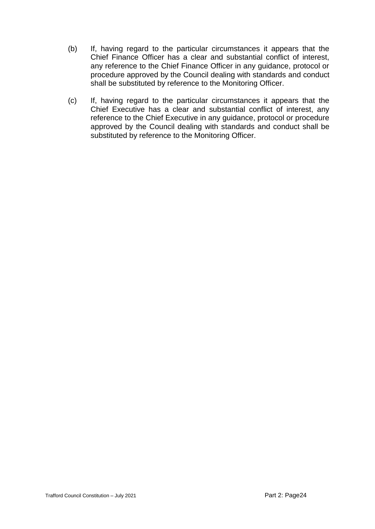- (b) If, having regard to the particular circumstances it appears that the Chief Finance Officer has a clear and substantial conflict of interest, any reference to the Chief Finance Officer in any guidance, protocol or procedure approved by the Council dealing with standards and conduct shall be substituted by reference to the Monitoring Officer.
- (c) If, having regard to the particular circumstances it appears that the Chief Executive has a clear and substantial conflict of interest, any reference to the Chief Executive in any guidance, protocol or procedure approved by the Council dealing with standards and conduct shall be substituted by reference to the Monitoring Officer.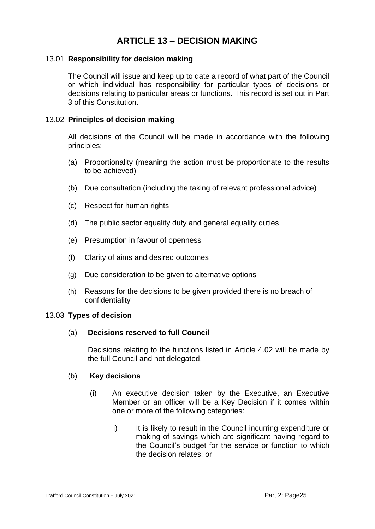# **ARTICLE 13 – DECISION MAKING**

### 13.01 **Responsibility for decision making**

The Council will issue and keep up to date a record of what part of the Council or which individual has responsibility for particular types of decisions or decisions relating to particular areas or functions. This record is set out in Part 3 of this Constitution.

### 13.02 **Principles of decision making**

All decisions of the Council will be made in accordance with the following principles:

- (a) Proportionality (meaning the action must be proportionate to the results to be achieved)
- (b) Due consultation (including the taking of relevant professional advice)
- (c) Respect for human rights
- (d) The public sector equality duty and general equality duties.
- (e) Presumption in favour of openness
- (f) Clarity of aims and desired outcomes
- (g) Due consideration to be given to alternative options
- (h) Reasons for the decisions to be given provided there is no breach of confidentiality

### 13.03 **Types of decision**

### (a) **Decisions reserved to full Council**

Decisions relating to the functions listed in Article 4.02 will be made by the full Council and not delegated.

### (b) **Key decisions**

- (i) An executive decision taken by the Executive, an Executive Member or an officer will be a Key Decision if it comes within one or more of the following categories:
	- i) It is likely to result in the Council incurring expenditure or making of savings which are significant having regard to the Council's budget for the service or function to which the decision relates; or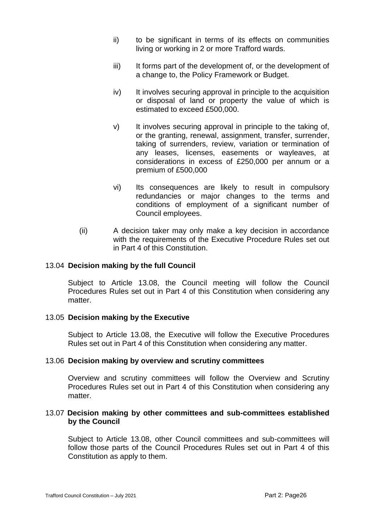- ii) to be significant in terms of its effects on communities living or working in 2 or more Trafford wards.
- iii) It forms part of the development of, or the development of a change to, the Policy Framework or Budget.
- iv) It involves securing approval in principle to the acquisition or disposal of land or property the value of which is estimated to exceed £500,000.
- v) It involves securing approval in principle to the taking of, or the granting, renewal, assignment, transfer, surrender, taking of surrenders, review, variation or termination of any leases, licenses, easements or wayleaves, at considerations in excess of £250,000 per annum or a premium of £500,000
- vi) Its consequences are likely to result in compulsory redundancies or major changes to the terms and conditions of employment of a significant number of Council employees.
- (ii) A decision taker may only make a key decision in accordance with the requirements of the Executive Procedure Rules set out in Part 4 of this Constitution.

### 13.04 **Decision making by the full Council**

Subject to Article 13.08, the Council meeting will follow the Council Procedures Rules set out in Part 4 of this Constitution when considering any matter

### 13.05 **Decision making by the Executive**

Subject to Article 13.08, the Executive will follow the Executive Procedures Rules set out in Part 4 of this Constitution when considering any matter.

### 13.06 **Decision making by overview and scrutiny committees**

Overview and scrutiny committees will follow the Overview and Scrutiny Procedures Rules set out in Part 4 of this Constitution when considering any matter.

### 13.07 **Decision making by other committees and sub-committees established by the Council**

Subject to Article 13.08, other Council committees and sub-committees will follow those parts of the Council Procedures Rules set out in Part 4 of this Constitution as apply to them.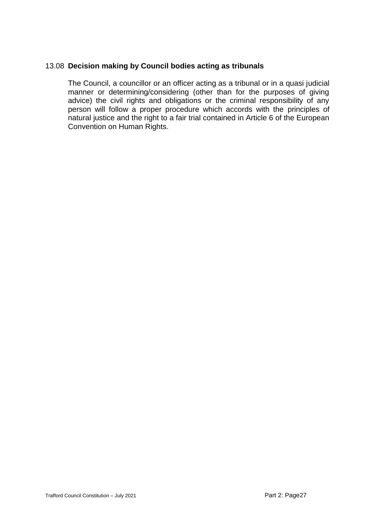### 13.08 **Decision making by Council bodies acting as tribunals**

The Council, a councillor or an officer acting as a tribunal or in a quasi judicial manner or determining/considering (other than for the purposes of giving advice) the civil rights and obligations or the criminal responsibility of any person will follow a proper procedure which accords with the principles of natural justice and the right to a fair trial contained in Article 6 of the European Convention on Human Rights.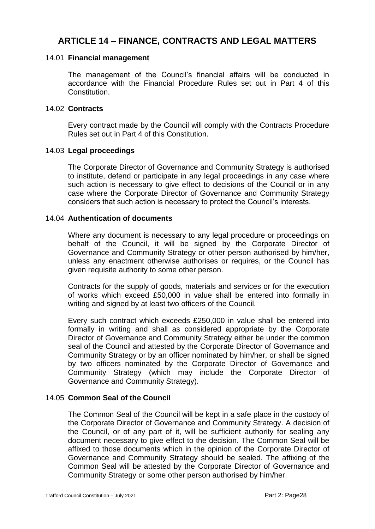## **ARTICLE 14 – FINANCE, CONTRACTS AND LEGAL MATTERS**

### 14.01 **Financial management**

The management of the Council's financial affairs will be conducted in accordance with the Financial Procedure Rules set out in Part 4 of this Constitution.

### 14.02 **Contracts**

Every contract made by the Council will comply with the Contracts Procedure Rules set out in Part 4 of this Constitution.

### 14.03 **Legal proceedings**

The Corporate Director of Governance and Community Strategy is authorised to institute, defend or participate in any legal proceedings in any case where such action is necessary to give effect to decisions of the Council or in any case where the Corporate Director of Governance and Community Strategy considers that such action is necessary to protect the Council's interests.

### 14.04 **Authentication of documents**

Where any document is necessary to any legal procedure or proceedings on behalf of the Council, it will be signed by the Corporate Director of Governance and Community Strategy or other person authorised by him/her, unless any enactment otherwise authorises or requires, or the Council has given requisite authority to some other person.

Contracts for the supply of goods, materials and services or for the execution of works which exceed £50,000 in value shall be entered into formally in writing and signed by at least two officers of the Council.

Every such contract which exceeds £250,000 in value shall be entered into formally in writing and shall as considered appropriate by the Corporate Director of Governance and Community Strategy either be under the common seal of the Council and attested by the Corporate Director of Governance and Community Strategy or by an officer nominated by him/her, or shall be signed by two officers nominated by the Corporate Director of Governance and Community Strategy (which may include the Corporate Director of Governance and Community Strategy).

### 14.05 **Common Seal of the Council**

The Common Seal of the Council will be kept in a safe place in the custody of the Corporate Director of Governance and Community Strategy. A decision of the Council, or of any part of it, will be sufficient authority for sealing any document necessary to give effect to the decision. The Common Seal will be affixed to those documents which in the opinion of the Corporate Director of Governance and Community Strategy should be sealed. The affixing of the Common Seal will be attested by the Corporate Director of Governance and Community Strategy or some other person authorised by him/her.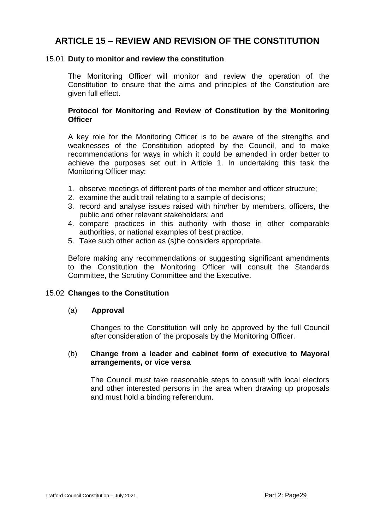# **ARTICLE 15 – REVIEW AND REVISION OF THE CONSTITUTION**

### 15.01 **Duty to monitor and review the constitution**

The Monitoring Officer will monitor and review the operation of the Constitution to ensure that the aims and principles of the Constitution are given full effect.

### **Protocol for Monitoring and Review of Constitution by the Monitoring Officer**

A key role for the Monitoring Officer is to be aware of the strengths and weaknesses of the Constitution adopted by the Council, and to make recommendations for ways in which it could be amended in order better to achieve the purposes set out in Article 1. In undertaking this task the Monitoring Officer may:

- 1. observe meetings of different parts of the member and officer structure;
- 2. examine the audit trail relating to a sample of decisions;
- 3. record and analyse issues raised with him/her by members, officers, the public and other relevant stakeholders; and
- 4. compare practices in this authority with those in other comparable authorities, or national examples of best practice.
- 5. Take such other action as (s)he considers appropriate.

Before making any recommendations or suggesting significant amendments to the Constitution the Monitoring Officer will consult the Standards Committee, the Scrutiny Committee and the Executive.

### 15.02 **Changes to the Constitution**

### (a) **Approval**

Changes to the Constitution will only be approved by the full Council after consideration of the proposals by the Monitoring Officer.

### (b) **Change from a leader and cabinet form of executive to Mayoral arrangements, or vice versa**

The Council must take reasonable steps to consult with local electors and other interested persons in the area when drawing up proposals and must hold a binding referendum.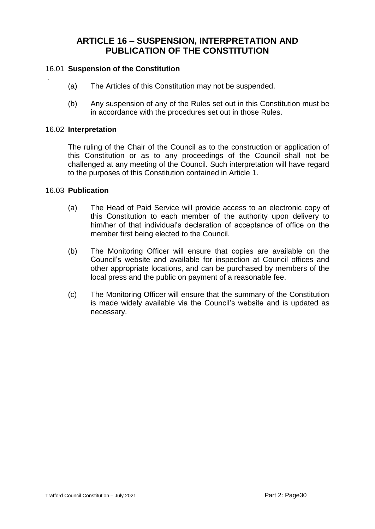## **ARTICLE 16 – SUSPENSION, INTERPRETATION AND PUBLICATION OF THE CONSTITUTION**

### 16.01 **Suspension of the Constitution**

- (a) The Articles of this Constitution may not be suspended.
- (b) Any suspension of any of the Rules set out in this Constitution must be in accordance with the procedures set out in those Rules.

#### 16.02 **Interpretation**

*.*

The ruling of the Chair of the Council as to the construction or application of this Constitution or as to any proceedings of the Council shall not be challenged at any meeting of the Council. Such interpretation will have regard to the purposes of this Constitution contained in Article 1.

### 16.03 **Publication**

- (a) The Head of Paid Service will provide access to an electronic copy of this Constitution to each member of the authority upon delivery to him/her of that individual's declaration of acceptance of office on the member first being elected to the Council.
- (b) The Monitoring Officer will ensure that copies are available on the Council's website and available for inspection at Council offices and other appropriate locations, and can be purchased by members of the local press and the public on payment of a reasonable fee.
- (c) The Monitoring Officer will ensure that the summary of the Constitution is made widely available via the Council's website and is updated as necessary.